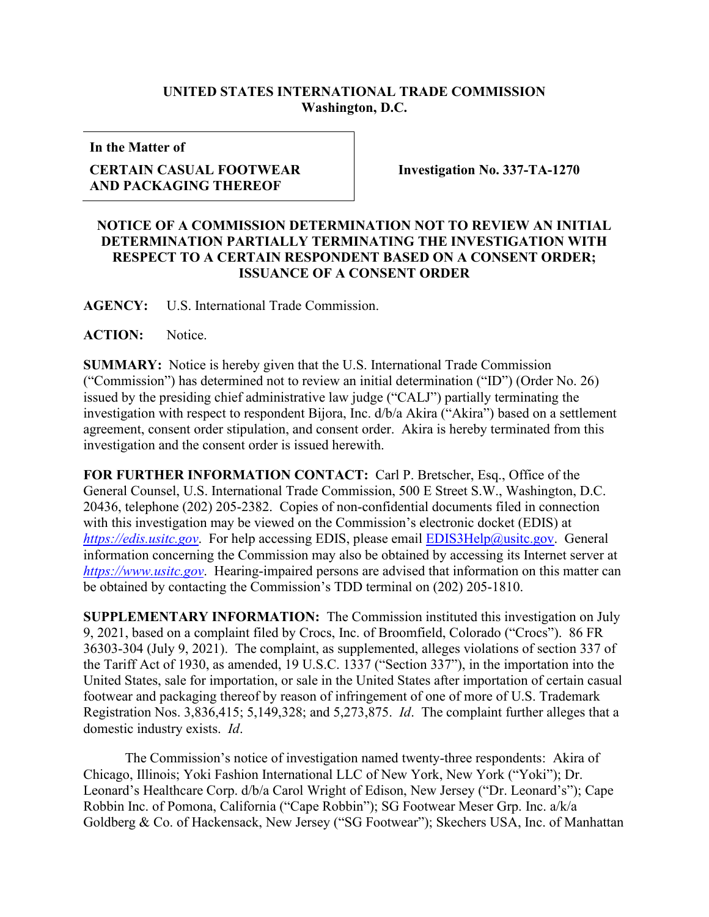## **UNITED STATES INTERNATIONAL TRADE COMMISSION Washington, D.C.**

**In the Matter of**

## **CERTAIN CASUAL FOOTWEAR AND PACKAGING THEREOF**

**Investigation No. 337-TA-1270**

## **NOTICE OF A COMMISSION DETERMINATION NOT TO REVIEW AN INITIAL DETERMINATION PARTIALLY TERMINATING THE INVESTIGATION WITH RESPECT TO A CERTAIN RESPONDENT BASED ON A CONSENT ORDER; ISSUANCE OF A CONSENT ORDER**

**AGENCY:** U.S. International Trade Commission.

**ACTION:** Notice.

**SUMMARY:** Notice is hereby given that the U.S. International Trade Commission ("Commission") has determined not to review an initial determination ("ID") (Order No. 26) issued by the presiding chief administrative law judge ("CALJ") partially terminating the investigation with respect to respondent Bijora, Inc. d/b/a Akira ("Akira") based on a settlement agreement, consent order stipulation, and consent order. Akira is hereby terminated from this investigation and the consent order is issued herewith.

**FOR FURTHER INFORMATION CONTACT:** Carl P. Bretscher, Esq., Office of the General Counsel, U.S. International Trade Commission, 500 E Street S.W., Washington, D.C. 20436, telephone (202) 205-2382. Copies of non-confidential documents filed in connection with this investigation may be viewed on the Commission's electronic docket (EDIS) at *[https://edis.usitc.gov](https://edis.usitc.gov/).* For help accessing EDIS, please email **EDIS3Help@usitc.gov**. General information concerning the Commission may also be obtained by accessing its Internet server at *[https://www.usitc.gov](https://www.usitc.gov/)*. Hearing-impaired persons are advised that information on this matter can be obtained by contacting the Commission's TDD terminal on (202) 205-1810.

**SUPPLEMENTARY INFORMATION:** The Commission instituted this investigation on July 9, 2021, based on a complaint filed by Crocs, Inc. of Broomfield, Colorado ("Crocs"). 86 FR 36303-304 (July 9, 2021). The complaint, as supplemented, alleges violations of section 337 of the Tariff Act of 1930, as amended, 19 U.S.C. 1337 ("Section 337"), in the importation into the United States, sale for importation, or sale in the United States after importation of certain casual footwear and packaging thereof by reason of infringement of one of more of U.S. Trademark Registration Nos. 3,836,415; 5,149,328; and 5,273,875. *Id*. The complaint further alleges that a domestic industry exists. *Id*.

The Commission's notice of investigation named twenty-three respondents: Akira of Chicago, Illinois; Yoki Fashion International LLC of New York, New York ("Yoki"); Dr. Leonard's Healthcare Corp. d/b/a Carol Wright of Edison, New Jersey ("Dr. Leonard's"); Cape Robbin Inc. of Pomona, California ("Cape Robbin"); SG Footwear Meser Grp. Inc. a/k/a Goldberg & Co. of Hackensack, New Jersey ("SG Footwear"); Skechers USA, Inc. of Manhattan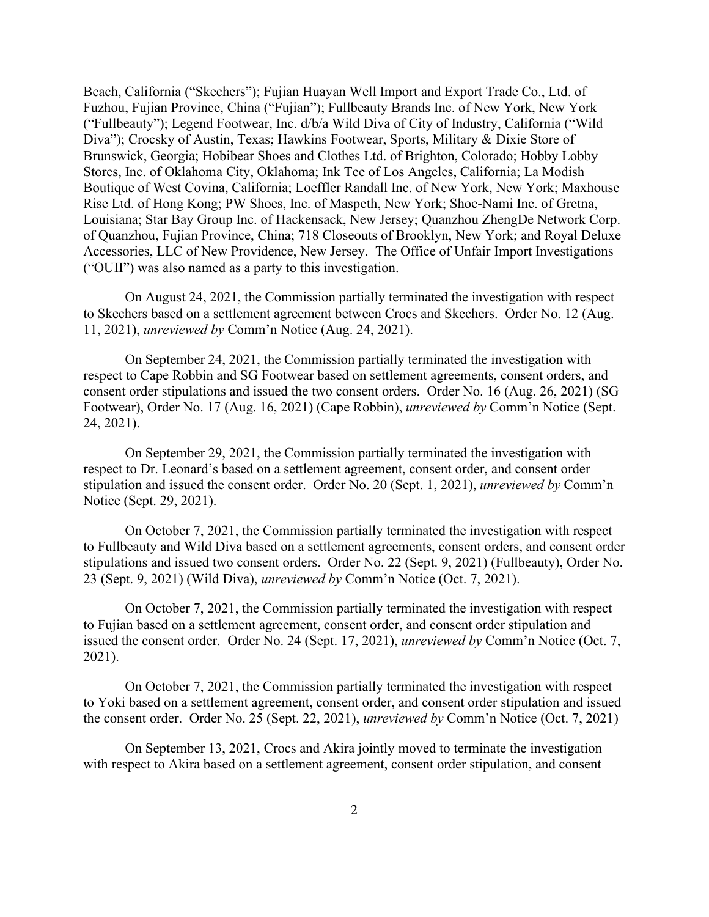Beach, California ("Skechers"); Fujian Huayan Well Import and Export Trade Co., Ltd. of Fuzhou, Fujian Province, China ("Fujian"); Fullbeauty Brands Inc. of New York, New York ("Fullbeauty"); Legend Footwear, Inc. d/b/a Wild Diva of City of Industry, California ("Wild Diva"); Crocsky of Austin, Texas; Hawkins Footwear, Sports, Military & Dixie Store of Brunswick, Georgia; Hobibear Shoes and Clothes Ltd. of Brighton, Colorado; Hobby Lobby Stores, Inc. of Oklahoma City, Oklahoma; Ink Tee of Los Angeles, California; La Modish Boutique of West Covina, California; Loeffler Randall Inc. of New York, New York; Maxhouse Rise Ltd. of Hong Kong; PW Shoes, Inc. of Maspeth, New York; Shoe-Nami Inc. of Gretna, Louisiana; Star Bay Group Inc. of Hackensack, New Jersey; Quanzhou ZhengDe Network Corp. of Quanzhou, Fujian Province, China; 718 Closeouts of Brooklyn, New York; and Royal Deluxe Accessories, LLC of New Providence, New Jersey. The Office of Unfair Import Investigations ("OUII") was also named as a party to this investigation.

On August 24, 2021, the Commission partially terminated the investigation with respect to Skechers based on a settlement agreement between Crocs and Skechers. Order No. 12 (Aug. 11, 2021), *unreviewed by* Comm'n Notice (Aug. 24, 2021).

On September 24, 2021, the Commission partially terminated the investigation with respect to Cape Robbin and SG Footwear based on settlement agreements, consent orders, and consent order stipulations and issued the two consent orders. Order No. 16 (Aug. 26, 2021) (SG Footwear), Order No. 17 (Aug. 16, 2021) (Cape Robbin), *unreviewed by* Comm'n Notice (Sept. 24, 2021).

On September 29, 2021, the Commission partially terminated the investigation with respect to Dr. Leonard's based on a settlement agreement, consent order, and consent order stipulation and issued the consent order. Order No. 20 (Sept. 1, 2021), *unreviewed by* Comm'n Notice (Sept. 29, 2021).

On October 7, 2021, the Commission partially terminated the investigation with respect to Fullbeauty and Wild Diva based on a settlement agreements, consent orders, and consent order stipulations and issued two consent orders. Order No. 22 (Sept. 9, 2021) (Fullbeauty), Order No. 23 (Sept. 9, 2021) (Wild Diva), *unreviewed by* Comm'n Notice (Oct. 7, 2021).

On October 7, 2021, the Commission partially terminated the investigation with respect to Fujian based on a settlement agreement, consent order, and consent order stipulation and issued the consent order. Order No. 24 (Sept. 17, 2021), *unreviewed by* Comm'n Notice (Oct. 7, 2021).

On October 7, 2021, the Commission partially terminated the investigation with respect to Yoki based on a settlement agreement, consent order, and consent order stipulation and issued the consent order. Order No. 25 (Sept. 22, 2021), *unreviewed by* Comm'n Notice (Oct. 7, 2021)

On September 13, 2021, Crocs and Akira jointly moved to terminate the investigation with respect to Akira based on a settlement agreement, consent order stipulation, and consent